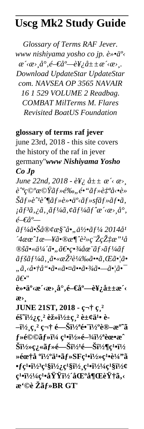## **Uscg Mk2 Study Guide**

*Glossary of Terms RAF Jever. www nishiyama yosho co jp. è*»•ä<sup>o</sup><  $a'$ < $a$ ,  $a^{\circ}$ ,  $e$ <del>- $\epsilon$ </del> $a^{\circ}$ - $e$  $\nu$ <sub> $\epsilon$ </sub>  $a^{\dagger}$   $\pm$   $\alpha$   $\epsilon$   $a$ ,  $a^{\dagger}$ , *Download UpdateStar UpdateStar com. NAVSEA OP 3565 NAVAIR 16 1 529 VOLUME 2 Readbag. COMBAT MilTerms M. Flares Revisited BoatUS Foundation*

## **glossary of terms raf jever**

june 23rd, 2018 - this site covers the history of the raf in jever germany''*www Nishiyama Yosho Co Jp*

*June 22nd, 2018 - è\*  $\hat{e}$   $\hat{e}$   $\hat{e}$   $\hat{e}$   $\hat{e}$   $\hat{e}$   $\hat{e}$   $\hat{e}$   $\hat{e}$   $\hat{e}$   $\hat{e}$   $\hat{e}$   $\hat{e}$   $\hat{e}$   $\hat{e}$   $\hat{e}$   $\hat{e}$   $\hat{e}$   $\hat{e}$   $\hat{e}$   $\hat{e}$   $\hat{e}$   $\hat{e}$   $\hat{e}$   $\hat{e}$  $\hat{e}^{\alpha}$ *e*⊙°*æ*©Ÿã f »é‰, é•"ã f »è t<sup>a</sup>å<•è»  $\check{S}\tilde{a}f\ast\hat{e}^{\prime 1}\hat{e}^{\prime }\tilde{\psi}^{\prime}$ āf» $\check{a}^{\prime\prime}$ e $\check{a}^{\prime\prime}$ vāf $\check{a}f\ast\tilde{a}f\ast\tilde{a}f\ast\tilde{a}$ , *¡ãƒ³ã'¿ã'¸ãƒ¼ã'¢ãƒ¼ãƒˆæ´‹æ›¸å°'* 門尖

 $\tilde{a}f^{1/4}\tilde{a}$ • $\tilde{S}a^{\circ}\mathbb{R}$ ¢æ $\tilde{S}$ <sup>- $\tilde{a}$ •,, $\tilde{a}^{1/2}$ • $\tilde{a}f^{1/4}$  2014 $\tilde{a}^{1/2}$ </sup>  $74a\alpha^2l\alpha -\tilde{4}a\alpha\alpha\pi^2\partial^2\alpha\zeta\tilde{Z}^T_0\tilde{Z}^T_0\tilde{Z}^T_0\tilde{Z}^T_0$ ®*šã•«ä¼´ã•*"〕ç•∛⁄a在ãf>ãf¼ãf  $\tilde{a}$ fš $\tilde{a}$ f½ $\tilde{a}$ ,  $\tilde{a}$ •«æŽ<sup>2</sup>轉ã•• $\tilde{a}$ , ΋•¦ $\tilde{a}$ • "*.,ã, <商å* "•*㕫㕤㕤̃•\*ã•<sup>3</sup>/4㕗㕦ã• 〕*''

 $\mathbf{e} \rightarrow \mathbf{e}^{\mathbf{e} \cdot \mathbf{e} \cdot \mathbf{e}}$  and  $\mathbf{e} \rightarrow \mathbf{e}^{\mathbf{e} \cdot \mathbf{e} \cdot \mathbf{e}}$  and  $\mathbf{e}$  is  $\mathbf{e}$  is  $\mathbf{e}$  is  $\mathbf{e}$  is  $\mathbf{e}$  is  $\mathbf{e}$  is  $\mathbf{e}$  is  $\mathbf{e}$  is  $\mathbf{e}$  is  $\mathbf{e}$  is  $\mathbf{e}$  is æ>

**JUNE 21ST, 2018 - c-† c.**<sup>2</sup>  $\acute{e} \acute{S}$ <sup>2</sup> $\frac{1}{2}$ <sub> $\acute{c}$ </sub> $\frac{1}{2}$  $\acute{e} \acute{c} \frac{1}{2}$  $\frac{1}{2}$  $\acute{c} \frac{1}{2}$  $\acute{c} \frac{1}{2}$  $\acute{c} \frac{1}{2}$  $\acute{c} \frac{1}{2}$  $\acute{c} \frac{1}{2}$  $\acute{c} \frac{1}{2}$  $-i^{1/2}$ , $\zeta$ ,<sup>2</sup>  $\zeta$  é—Šï<sup>1</sup>⁄2<sup>a</sup>é• ï<sup>1</sup>⁄2<sup>o</sup>è®—æ<sup>o~</sup>ã  $f$ Ȏ©©ã*f* ȕ¼ ç<sup>1•</sup>サ閾ェ蜕æ^  $\rm \check{Si}^{1}/\rm \hat{2}\hat{e}$ <sub> $\rm \check{a}$  $\rm \check{f}$ Ȏ $\rm \check{S}$ ï<sup>1</sup> $\rm \hat{2}$ <sup>4</sup> $\rm \check{e}$  $\rm \check{m}$  $\rm \check{b}$ i $\rm \check{d}$  $\rm \check{f}$ </sub> Ȏœ†å °ï<sup>1</sup>/2°ä<sup>1</sup>•ãf»SFç<sup>1</sup>•ï<sup>1</sup>/2»ç<sup>1</sup>•è<sup>1</sup>/4"ã  $\bullet$ **fc**<sup>1</sup>•i<sup>1</sup>/<sub>2</sub><sup>3</sup>**c**<sup>1</sup>§i<sup>1</sup>/<sub>2</sub>*i*,**c**<sup>1</sup>§i<sup>1</sup>/<sub>2</sub>*i*,c<sup>1</sup>§i<sup>1</sup>/<sub>2</sub>*¢* **c**<sup>1</sup>•ï<sup>1</sup>/2<sup>1</sup>/4**c**<sup>1</sup>•域ï<sup>1</sup>/2´åŒ°å¶ŒèŸ†ã,< **æ'©è Žãƒ»BR GT**'